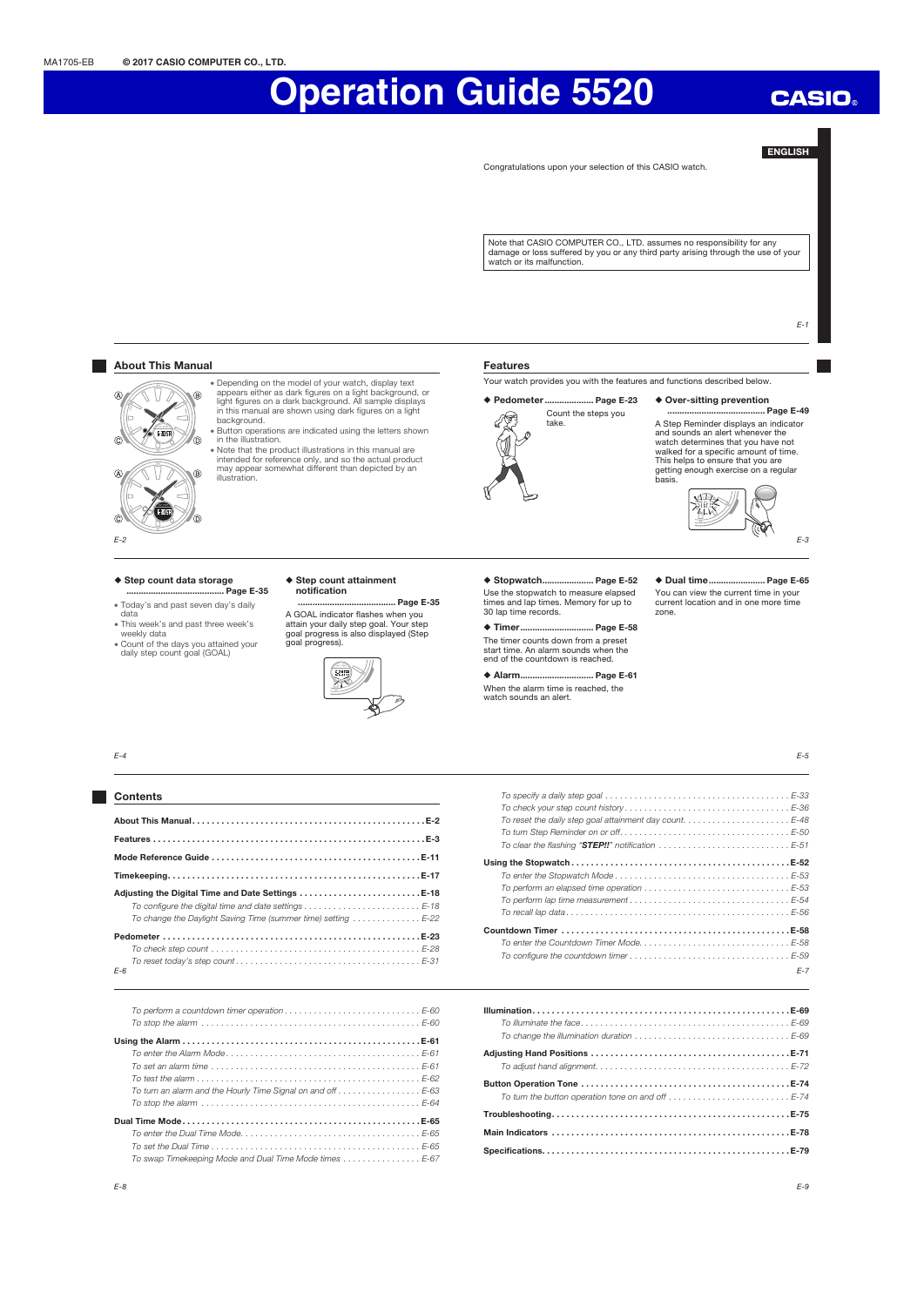## Note that CASIO COMPUTER CO., LTD. assumes no responsibility for any damage or loss suffered by you or any third party arising through the use of your watch or its malfunction.  $F-1$ Features Your watch provides you with the features and functions described below. x Depending on the model of your watch, display text appears either as dark figures on a light background, or light figures on a dark background. All sample displays ... Page E-23 → Over-sitting prevention ◆ Pedometer ... in this manual are shown using dark figures on a light Count the steps you .... Page E-49 F) take. A Step Reminder displays an indicator and sounds an alert whenever the W watch determines that you have not walked for a specific amount of time. This helps to ensure that you are getting enough exercise on a regular basis.  $\begin{tabular}{|c|c|} \hline \multicolumn{1}{c}{\textbf{1}} & \multicolumn{1}{c}{\textbf{1}} \\ \hline \multicolumn{1}{c}{\textbf{1}} & \multicolumn{1}{c}{\textbf{1}} \\ \hline \multicolumn{1}{c}{\textbf{1}} & \multicolumn{1}{c}{\textbf{1}} \\ \hline \multicolumn{1}{c}{\textbf{1}} & \multicolumn{1}{c}{\textbf{1}} \\ \hline \multicolumn{1}{c}{\textbf{1}} & \multicolumn{1}{c}{\textbf{1}} \\ \hline \multicolumn{1}{c}{\textbf{1}} & \multicolumn{1}{c}{\textbf{1$ E-3 ◆ Step count attainment ◆ Stopwatch..................... Page E-52 ◆ Dual time ....................... Page E-65 Use the stopwatch to measure elapsed You can view the current time in your times and lap times. Memory for up to current location and in one more time ........................................ Page E-35 30 lap time records. zone. ◆ Timer.................................. Page E-58 The timer counts down from a preset start time. An alarm sounds when the end of the countdown is reached. ◆ Alarm.............................. Page E-61 When the alarm time is reached, the watch sounds an alert.  $\blacklozenge$ E-5

Congratulations upon your selection of this CASIO watch.

E-2

 $\overline{A}$ 

**About This Manual** 

Λ, Ñ

 $\bullet$  FOST

ര

ัก

ക

 $\subset$ 

background. x Button operations are indicated using the letters shown in the illustration. x Note that the product illustrations in this manual are intended for reference only, and so the actual product may appear somewhat different than depicted by an illustration.

#### ◆ Step count data storage ........................................ Page E-35

- x Today's and past seven day's daily data
- x This week's and past three week's
- weekly data x Count of the days you attained your daily step count goal (GOAL)

notification

A GOAL indicator flashes when you attain your daily step goal. Your step goal progress is also displayed (Step goal progress).



 $F - 4$ 

| <b>Contents</b>                                                                                                                                                                                                                  |
|----------------------------------------------------------------------------------------------------------------------------------------------------------------------------------------------------------------------------------|
|                                                                                                                                                                                                                                  |
|                                                                                                                                                                                                                                  |
|                                                                                                                                                                                                                                  |
|                                                                                                                                                                                                                                  |
| Adjusting the Digital Time and Date Settings E-18<br>To configure the digital time and date settings $\ldots \ldots \ldots \ldots \ldots \ldots \ldots \ldots$<br>To change the Daylight Saving Time (summer time) setting  E-22 |
| $F-6$                                                                                                                                                                                                                            |

| To perform a countdown timer operation $\ldots \ldots \ldots \ldots \ldots \ldots \ldots \ldots \ldots \in -60$ |
|-----------------------------------------------------------------------------------------------------------------|
|                                                                                                                 |
|                                                                                                                 |
|                                                                                                                 |
|                                                                                                                 |
| To turn an alarm and the Hourly Time Signal on and off $\ldots \ldots \ldots \ldots \ldots$ E-63                |
|                                                                                                                 |
|                                                                                                                 |
|                                                                                                                 |
|                                                                                                                 |
| To swap Timekeeping Mode and Dual Time Mode times E-67                                                          |

| To clear the flashing "STEP!!" notification E-51                                                     |
|------------------------------------------------------------------------------------------------------|
|                                                                                                      |
|                                                                                                      |
| To perform an elapsed time operation $\dots\dots\dots\dots\dots\dots\dots\dots\dots\dots\dots E$ -53 |
|                                                                                                      |
|                                                                                                      |
|                                                                                                      |
|                                                                                                      |
|                                                                                                      |
| $F - 7$                                                                                              |
|                                                                                                      |

 $F-9$ 

ENGLISH

**CASIO**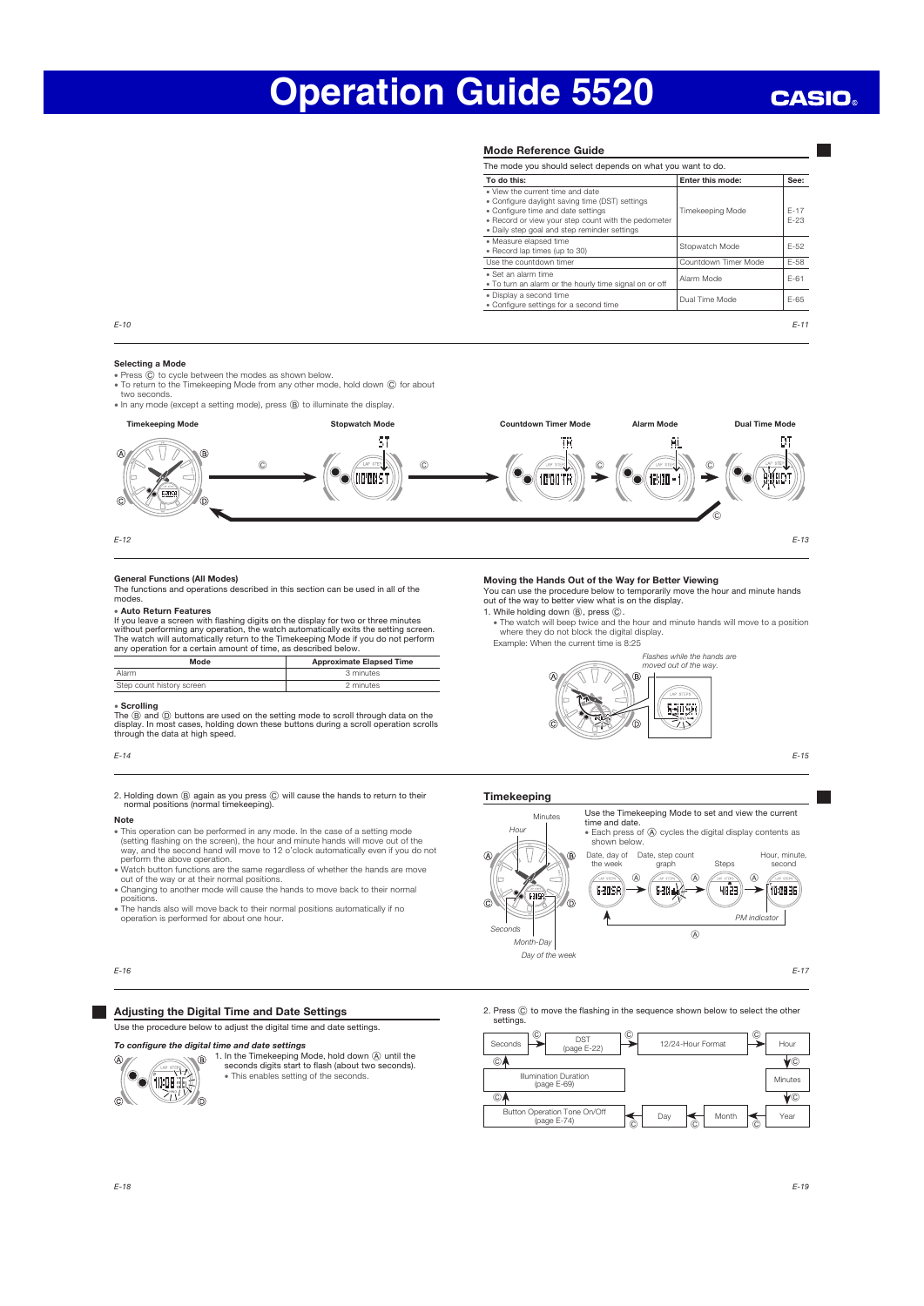## **CASIO**

#### Mode Reference Guide

|                                                                                                                                                                                                                                  | The mode you should select depends on what you want to do. |                  |
|----------------------------------------------------------------------------------------------------------------------------------------------------------------------------------------------------------------------------------|------------------------------------------------------------|------------------|
| To do this:                                                                                                                                                                                                                      | Enter this mode:                                           | See:             |
| . View the current time and date<br>. Configure daylight saving time (DST) settings<br>· Configure time and date settings<br>. Record or view your step count with the pedometer<br>. Daily step goal and step reminder settings | Timekeeping Mode                                           | $F - 17$<br>F-23 |
| · Measure elapsed time<br>· Record lap times (up to 30)                                                                                                                                                                          | Stopwatch Mode                                             | $F-52$           |
| Use the countdown timer                                                                                                                                                                                                          | Countdown Timer Mode                                       | F-58             |
| . Set an alarm time<br>. To turn an alarm or the hourly time signal on or off                                                                                                                                                    | Alarm Mode                                                 | $F-61$           |
| · Display a second time<br>· Configure settings for a second time                                                                                                                                                                | Dual Time Mode                                             | $F-65$           |

E-10

#### Selecting a Mode

- Press  $\ddot{\text{o}}$  to cycle between the modes as shown below.
- $\bullet$  To return to the Timekeeping Mode from any other mode, hold down  $\copyright$  for about



E-13

DT

**EEGEDT** 

 $^{\circ}$ 

E-12

**Fare** 

**General Functions (All Modes)**<br>The functions and operations described in this section can be used in all of the modes.

#### x Auto Return Features

If you leave a screen with flashing digits on the display for two or three minutes<br>without performing any operation, the watch automatically exits the setting screen.<br>The watch will automatically return to the Timekeeping

| Mode                      | <b>Approximate Elapsed Time</b> |
|---------------------------|---------------------------------|
| Alarm                     | 3 minutes                       |
| Step count history screen | 2 minutes                       |

 $\bullet$  Scrolling<br>The ® and ® buttons are used on the setting mode to scroll through data on the<br>display. In most cases, holding down these buttons during a scroll operation scrolls<br>through the data at high speed.

E-14

## 2. Holding down B again as you press C will cause the hands to return to their normal positions (normal timekeeping).

#### Note

- x This operation can be performed in any mode. In the case of a setting mode (setting flashing on the screen), the hour and minute hands will move out of the way, and the second hand will move to 12 o'clock automatically even if you do not
- perform the above operation.<br>• Watch button functions are the same regardless of whether the hands are move<br>out of the way or at their normal positions.<br>• Changing to another mode will cause the hands to move back to their
- positions.
- x The hands also will move back to their normal positions automatically if no operation is performed for about one hour.

## **Adjusting the Digital Time and Date Settings**

Use the procedure below to adjust the digital time and date settings.

To configure the digital time and date settings



1. In the Timekeeping Mode, hold down (A) until the seconds digits start to flash (about two seconds). x This enables setting of the seconds.

#### Moving the Hands Out of the Way for Better Viewing

You can use the procedure below to temporarily move the hour and minute hands out of the way to better view what is on the display.

1. While holding down (B), press (C).<br>The watch will beep twice and the hour and minute hands will move to a position<br>where they do not block the digital display. Example: When the current time is 8:25



E-15

#### Timekeeping



2. Press  $\copyright$  to move the flashing in the sequence shown below to select the other settings.



E-16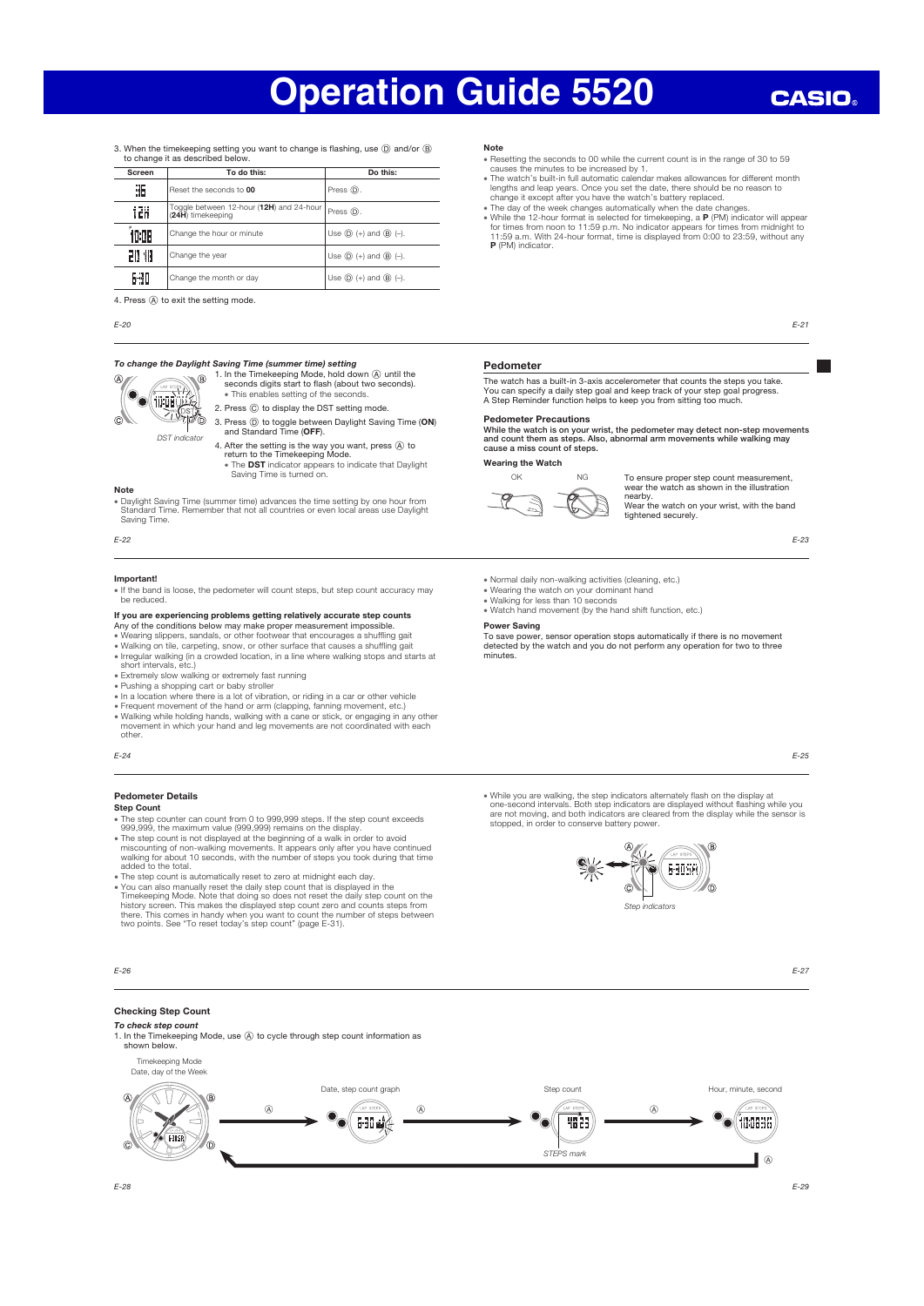## **CASIO**

3. When the timekeeping setting you want to change is flashing, use  $(D)$  and/or  $(D)$ to change it as described below

| Screen | To do this:                                                   | Do this:                                         |
|--------|---------------------------------------------------------------|--------------------------------------------------|
| 35     | Reset the seconds to 00                                       | Press (D).                                       |
| 12H    | Toggle between 12-hour (12H) and 24-hour<br>(24H) timekeeping | Press (D).                                       |
| 1009   | Change the hour or minute                                     | Use $(\widehat{D})$ (+) and $(\widehat{B})$ (-). |
| 20 IB  | Change the year                                               | Use $(D) (+)$ and $(B) (-)$ .                    |
| 630    | Change the month or day                                       | Use $(D)$ (+) and $(B)$ (-).                     |

4. Press  $\textcircled{A}$  to exit the setting mode.

#### E-20

#### To change the Daylight Saving Time (summer time) setting



- 1. In the Timekeeping Mode, hold down (A) until the seconds digits start to flash (about two seconds). x This enables setting of the seconds. 2. Press  $\copyright$  to display the DST setting mode
- 3. Press ① to toggle between Daylight Saving Time (ON)<br>and Standard Time (OFF).
- 4. After the setting is the way you want, press  $\overline{\textcircled{A}}$  to<br>return to the Timekeeping Mode.<br>\* The DST indicator appears to indicate that Daylight<br>Saving Time is turned on.

#### Note

x Daylight Saving Time (summer time) advances the time setting by one hour from Standard Time. Remember that not all countries or even local areas use Daylight

Saving Time.

## E-22

#### **Important**

• If the band is loose, the pedometer will count steps, but step count accuracy may be reduced.

**If you are experiencing problems getting relatively accurate step counts**<br>Any of the conditions below may make proper measurement impossible.<br>• Wearing slippers, sandals, or other footwear that encourages a shuffling gait

- x Walking on tile, carpeting, snow, or other surface that causes a shuffling gait x Irregular walking (in a crowded location, in a line where walking stops and starts at short intervals, etc.)
- Extremely slow walking or extremely fast running
- 
- 
- Pushing a shopping cart or baby stroller<br>• In a location where there is a lot of vibration, or riding in a car or other vehicle<br>• Frequent movement of the hand or arm (clapping, fanning movement, etc.) x Walking while holding hands, walking with a cane or stick, or engaging in any other movement in which your hand and leg movements are not coordinated with each
- other.

E-24

## Pedometer Details

Step Count

- x The step counter can count from 0 to 999,999 steps. If the step count exceeds 999,999, the maximum value (999,999) remains on the display.
- The step count is not displayed at the beginning of a walk in order to avoid<br>miscounting of non-walking movements. It appears only after you have continued<br>walking for about 10 seconds, with the number of steps you took
- 
- You can also manually reset the daily step count that is displayed in the<br>Timekeeping Mode. Note that doing so does not reset the daily step count on the<br>Timekeeping Mode. Note that doing so does not reset the daily step

1. In the Timekeeping Mode, use (A) to cycle through step count information as



Checking Step Count To check step count

shown below.

#### Note

- 
- Resetting the seconds to 00 while the current count is in the range of 30 to 59<br>causes the minutes to be increased by 1.<br>• The watch's built-in full automatic calendar makes allowances for different month<br>lengths and lea
- 
- The day of the week changes automatically when the date changes.<br>• While the 12-hour format is selected for timekeeping, a  $\mathbf{P}$  (PM) indicator will appear for times from noon to 11:59 p.m. No indicator appears for t P (PM) indicator

E-21

#### Pedometer

The watch has a built-in 3-axis accelerometer that counts the steps you take.<br>You can specify a daily step goal and keep track of your step goal progress.<br>A Step Reminder function helps to keep you from sitting too much.

#### Pedometer Precautions

While the watch is on your wrist, the pedometer may detect non-step movements and count them as steps. Also, abnormal arm movements while walking may cause a miss count of steps.

### Wearing the Watch



OK NG To ensure proper step count measurement,<br>wear the watch as shown in the illustration

nearby. Wear the watch on your wrist, with the band tightened securely

E-23

- x Normal daily non-walking activities (cleaning, etc.)
- 
- x Wearing the watch on your dominant hand x Walking for less than 10 seconds
- Watch hand movement (by the hand shift function, etc.)

## Power Saving

To save power, sensor operation stops automatically if there is no movement detected by the watch and you do not perform any operation for two to three minutes.

E-25

Nhile you are walking, the step indicators alternately flash on the display at »<br>one-second intervals. Both step indicators are displayed without flashing while you<br>are not moving, and both indicators are cleared from the stopped, in order to conserve battery power.



E-27

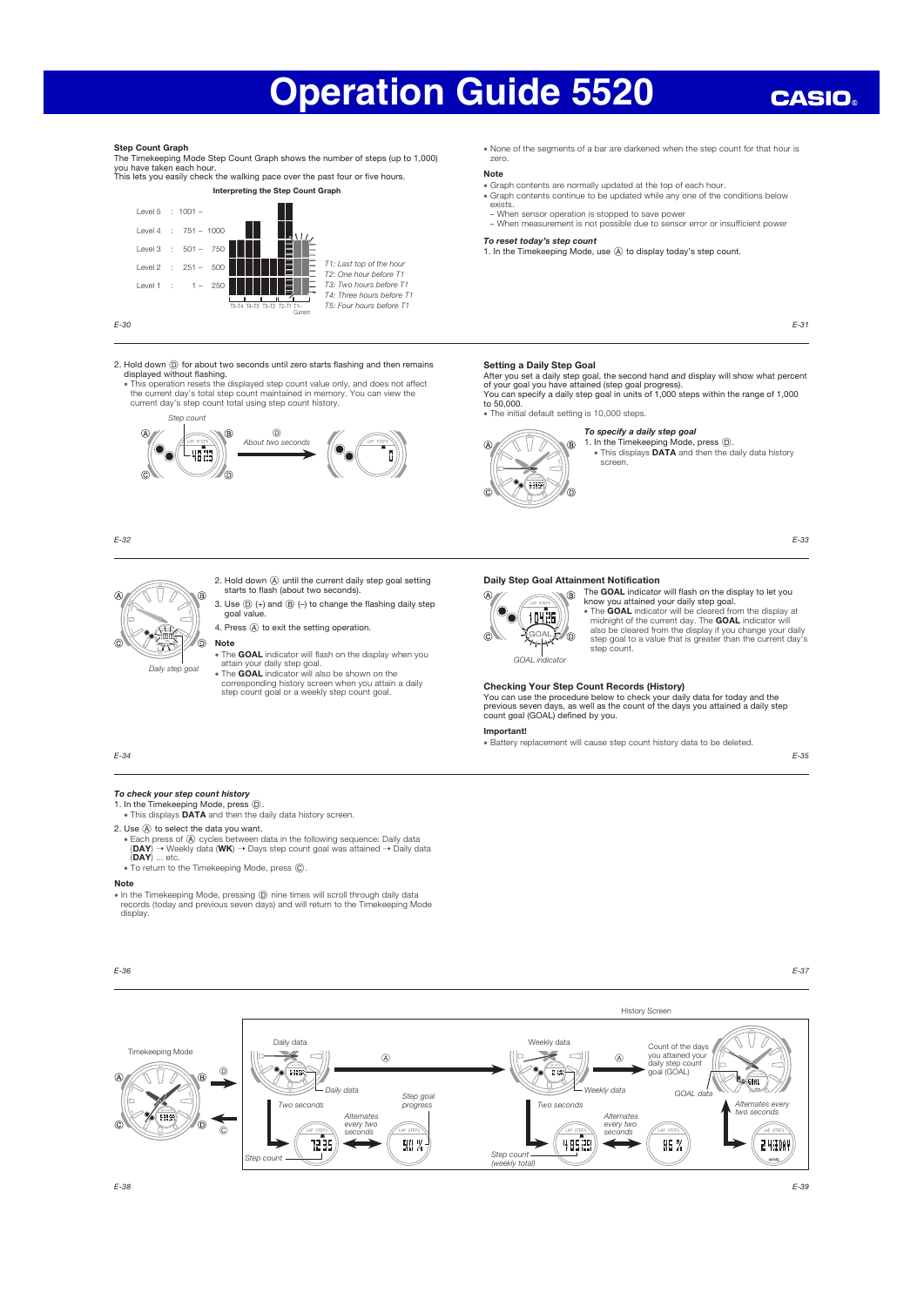## **CASIO**

#### Step Count Graph

The Timekeeping Mode Step Count Graph shows the number of steps (up to 1,000)<br>you have taken each hour.<br>This lets you easily check the walking pace over the past four or five hours.

Interpreting the Step Count Graph



E-30

2. Hold down ① for about two seconds until zero starts flashing and then remains<br>displayed without flashing.<br>This operation resets the displayed step count value only, and does not affect<br>the current day's total step count



E-32

 $\sigma$ ക Ñ Note

Daily step goal

- The GOAL indicator will flash on the display when you
- 

2. Hold down A until the current daily step goal setting starts to flash (about two seconds). 3. Use  $\circledD$  (+) and  $\circledB$  (-) to change the flashing daily step  $y$ 

4. Press  $\textcircled{A}$  to exit the setting operation.

attain your daily step goal.<br>
• The GOAL indicator will also be shown on the<br>
corresponding history screen when you attain a daily<br>
step count goal or a weekly step count goal.

x None of the segments of a bar are darkened when the step count for that hour is zero.

## Note

- x Graph contents are normally updated at the top of each hour. • Graph contents continue to be updated while any one of the conditions below
- exists. − When sensor operation is stopped to save power
- − When measurement is not possible due to sensor error or insufficient power To reset today's step count

### 1. In the Timekeeping Mode, use @ to display today's step count.

E-31

### Setting a Daily Step Goal

W

िस्तार

 $\widehat{A}$ 

After you set a daily step goal, the second hand and display will show what percent<br>of your goal you have attained (step goal progress).<br>You can specify a daily step goal in units of 1,000 steps within the range of 1,000 to 50,000.

x The initial default setting is 10,000 steps.  $\overline{B}$ 

> a.  $\epsilon$

### To specify a daily step goal

1. In the Timekeeping Mode, press  $(\overline{D})$ .<br>• This displays **DATA** and then the daily data history screen

E-33

#### Daily Step Goal Attainment Notification



The GOAL indicator will flash on the display to let you know you attained your daily step goal.<br>
• The **GOAL** indicator will be cleared from the display at<br>
midnight of the current day. The **GOAL** indicator will<br>
also be cleared from the display if you change your daily<br>
step g

### Checking Your Step Count Records (History)

You can use the procedure below to check your daily data for today and the previous seven days, as well as the count of the days you attained a daily step count goal (GOAL) defined by you.

#### Important!

x Battery replacement will cause step count history data to be deleted.

E-35

To check your step count history 1. In the Timekeeping Mode, press  $\overline{\mathbb{O}}$ .<br>• This displays DATA and then the daily data history screen.

2. Use (A) to select the data you want.

- - Each press of  $\circledA$  cycles between data in the following sequence: Daily data<br>(DAY) → Weekly data (WK) → Days step count goal was attained → Daily data<br>(DAY) ... etc.

## $\overline{\phantom{a}}$  To return to the Timekeeping Mode, press  $\overline{\phantom{a}}$

### Note

E-34

x In the Timekeeping Mode, pressing D nine times will scroll through daily data records (today and previous seven days) and will return to the Timekeeping Mode display.



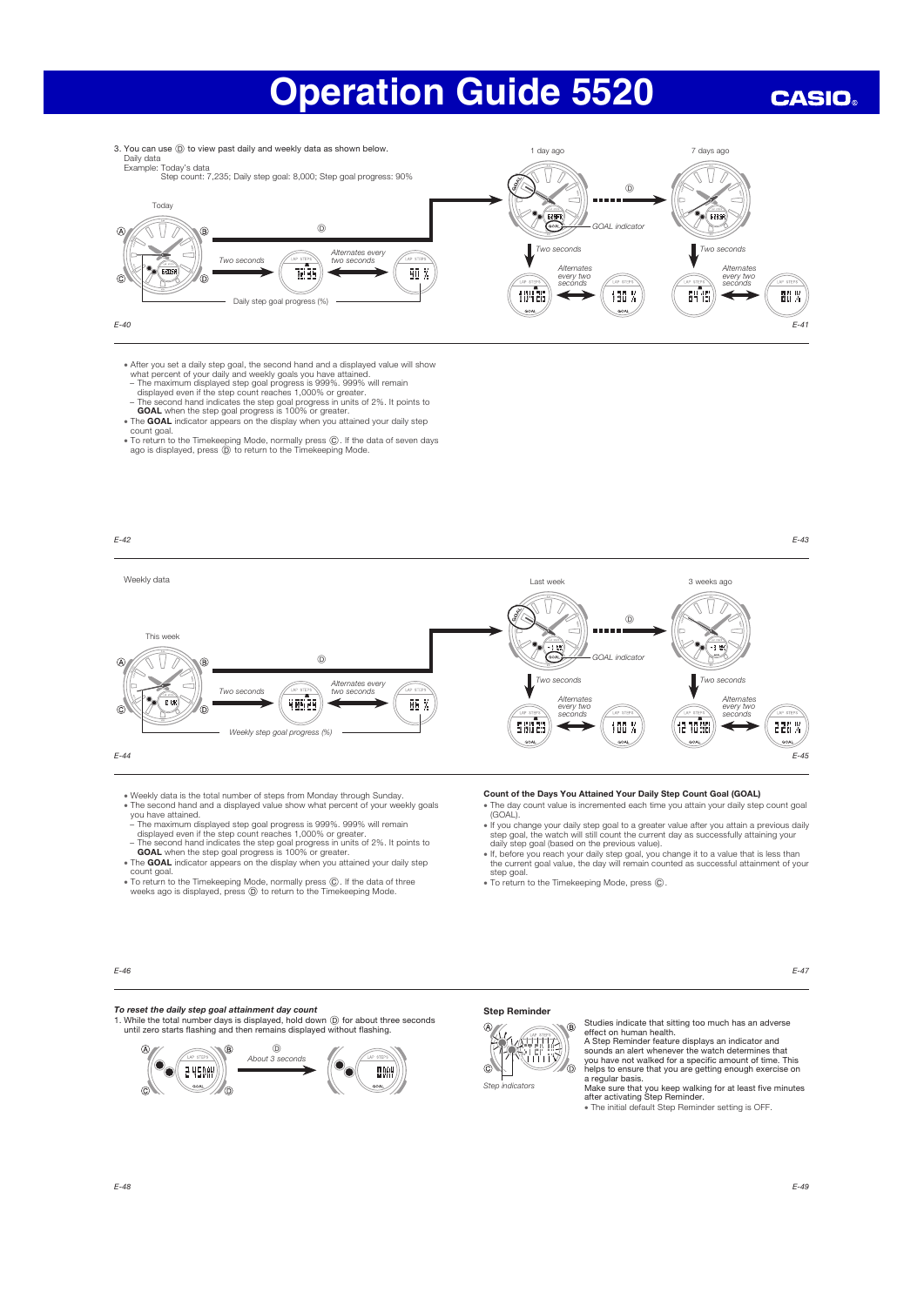**CASIO** 



• After you set a daily step goal, the second hand and a displayed value will show<br>what percent of your daily and weekly goals you have attained.<br>The maximum displayed step goal progress is 999%. 999% will remain<br>displayed

- 
- 
- 
- 
- The GOAL indicator appears on the display when you attained your daily step count goal.
- x To return to the Timekeeping Mode, normally press C. If the data of seven days ago is displayed, press D to return to the Timekeeping Mode.



- 
- x Weekly data is the total number of steps from Monday through Sunday. x The second hand and a displayed value show what percent of your weekly goals you have attained.
- 
- The maximum displayed step goal progress is 999%. 999% will remain<br>displayed even if the step count reaches 1,000% or greater.<br>- The second hand indicates the step goal progress in units of 2%. It points to<br>**GOAL** indic
- count goal.
- x To return to the Timekeeping Mode, normally press C. If the data of three weeks ago is displayed, press D to return to the Timekeeping Mode.

#### Count of the Days You Attained Your Daily Step Count Goal (GOAL)

- x The day count value is incremented each time you attain your daily step count goal (GOAL).
- If you change your daily step goal to a greater value after you attain a previous daily<br>step goal, the watch will still count the current day as successfully attaining your<br>daily step goal (based on the previous value).<br>
- step goal
- x To return to the Timekeeping Mode, press C.

E-46

### To reset the daily step goal attainment day count

1. While the total number days is displayed, hold down  $\textcircled{D}$  for about three seconds until zero starts flashing and then remains displayed without flashing.







Studies indicate that sitting too much has an adverse effect on human health. A Step Reminder feature displays an indicator and sounds an alert whenever the watch determines that you have not walked for a specific amount of time. This helps to ensure that you are getting enough exercise on a regular basis. Make sure that you keep walking for at least five minutes after activating Step Reminder.

x The initial default Step Reminder setting is OFF.

E-47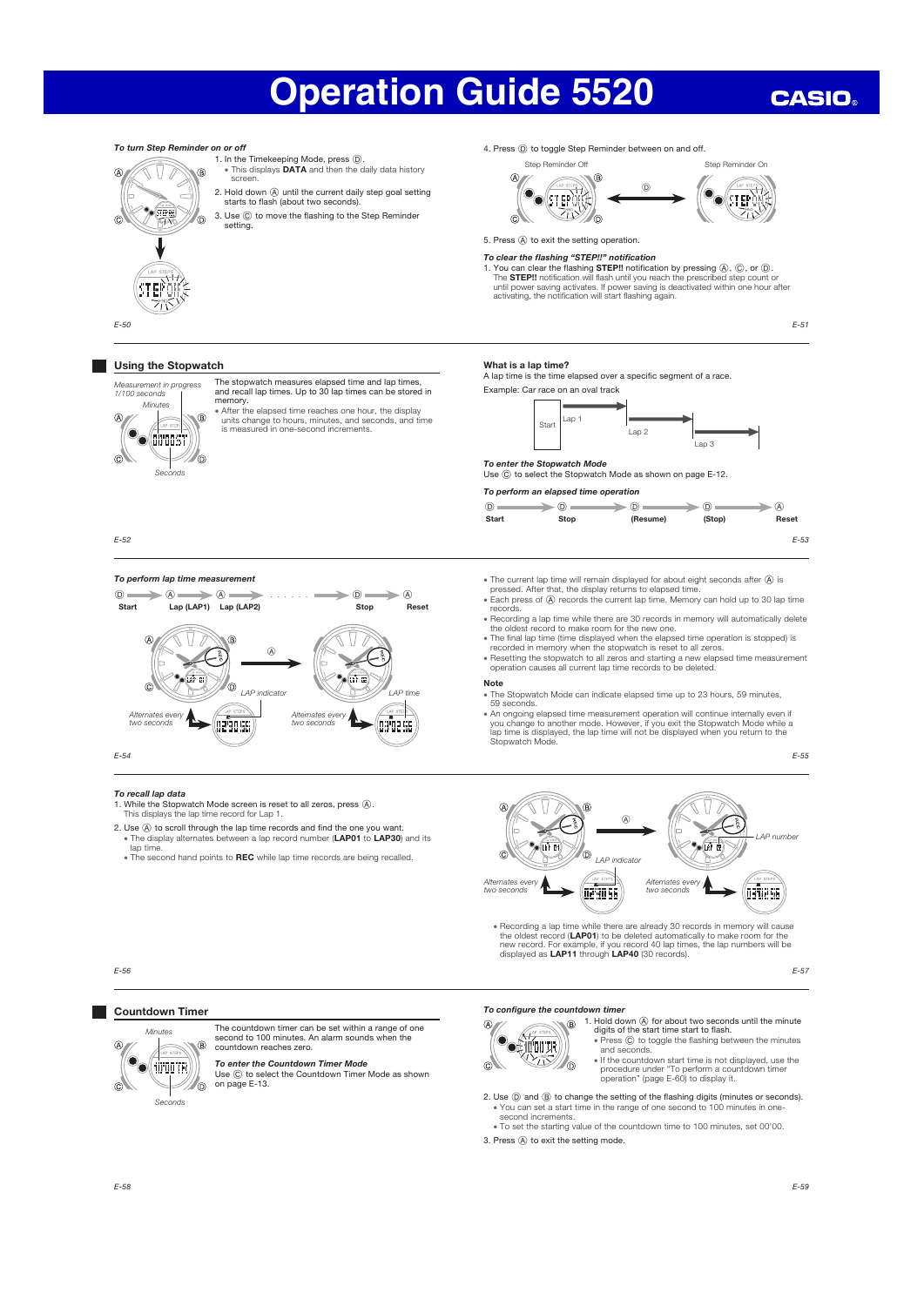#### To turn Step Reminder on or off 4. Press  $\circledD$  to toggle Step Reminder between on and off. 1. In the Timekeeping Mode, press  $\circledD$ .<br>• This displays **DATA** and then the daily data history screen. Step Reminder Off Step Reminder On Step Reminder On  $\vee$  $\sqrt{2}$  $\widehat{R}$ N  $\overline{\mathbb{A}}$ R  $\bigcirc$ 2. Hold down (A) until the current daily step goal setting  $\odot$  step of  $\ddot{\mathbf{v}}$  $\bullet$  (step) starts to flash (about two seconds). ° TPM ZIV 3. Use  $\circledR$  to move the flashing to the Step Reminder Ĉ l G 'n setting.5. Press (A) to exit the setting operation. To clear the flashing "STEP!!" notification<br>To clear the flashing STEP!! notification by pressing  $\emptyset$ ,  $\emptyset$ , or  $\emptyset$ .<br>The STEP!! notification will flash until you reach the prescribed step count or<br>until power saving ST EP O E-50 E-51 **Using the Stopwatch** What is a lap time? A lap time is the time elapsed over a specific segment of a race. nsurement in progress The stopwatch measures elapsed time and lap times, and recall lap times. Up to 30 lap times can be stored in memory. Example: Car race on an oval track 1/100 seconds Minutes • After the elapsed time reaches one hour, the display ®  $Start$  Lap 1 units change to hours, minutes, and seconds, and time is measured in one-second increments. Lap 2 **O** drugst Lap 3  $\widehat{c}$ 佰 **To enter the Stopwatch Mode**<br>Use ⓒ to select the Stopwatch Mode as shown on page E-12. Seconds To perform an elapsed time operation  $\circledcirc$  D  $\circledcirc$  D  $\circledcirc$  D  $\circledcirc$  D  $\circledcirc$ Start Stop (Resume) (Stop) Reset E-52 E-53 To perform lap time measurement • The current lap time will remain displayed for about eight seconds after  $\overline{A}$  is pressed. After that, the display returns to elapsed time.  $\Omega$  and  $\Omega$  and  $\Omega$  and  $\Omega$  and  $\Omega$  and  $\Omega$  and  $\Omega$ **Each press of A records the current lap time. Memory can hold up to 30 lap time** Start Lap (LAP1) Lap (LAP2) Stop Reset records. x Recording a lap time while there are 30 records in memory will automatically delete the oldest record to make room for the new one.  $\overline{A}$  $\sqrt{ }$  $\overline{B}$  $\bigtriangledown$ The final lap time (time displayed when the elapsed time operation is stopped) is<br>recorded in memory when the stopwatch is reset to all zeros.<br>• Resetting the stopwatch to all zeros and starting a new elapsed time measurem Ñ  $\sqrt{\Delta}$ o ur e dar n Note  $\sigma$ ē . The Stopwatch Mode can indicate elapsed time up to 23 hours, 59 minutes, LAP indicator  $\sqrt{2}$  LAP time 59 seconds.<br>• An ongoing elapsed time measurement operation will continue internally even if<br>you change to another mode. However, if you exit the Stopwatch Mode while a<br>lap time is displayed, the lap time will not be displ Alternates every Alternates every two seconds G290 SG two seconds 03 STED E-54 E-55 To recall lap data 1. While the Stopwatch Mode screen is reset to all zeros, press  $\circledA$ .<br>This displays the lap time record for Lap 1.  $\overline{A}$ A 2. Use  $\circledA$  to scroll through the lap time records and find the one you want.<br>Fine display alternates between a lap record number (LAP01 to LAP30) and its LAP number an in a ளிர lap time.  $\widehat{c}$ The second hand points to REC while lap time records are being recalled. ൹ LAP indicator Alternates every **Alternates every**<br>two seconds **Alternates every Alternates every** two seconds ae sofed) • Recording a lap time while there are already 30 records in memory will cause the oldest record (**LAP01**) to be deleted automatically to make room for the new record. For example, if you record 40 lap times, the lap numbe E-56

E-57

**CASIO** 

#### **The Co** Countdown Timer



The countdown timer can be set within a range of one second to 100 minutes. An alarm sounds when the countdown reaches zero.

# **To enter the Countdown Timer Mode**<br>Use ⓒ to select the Countdown Timer Mode as shown<br>on page E-13.

#### To configure the countdown timer

 $\mathbb{A}$ 

 $\circledcirc$ 

- **OSHUTR**  $\mathbb{R}$
- 1. Hold down  $\circledA$  for about two seconds until the minute digits of the start time start to flash.<br>
 Press  $\circledA$  to toggle the flashing between the minutes and seconds.

• If the countdown start time is not displayed, use the procedure under "To perform a countdown timer operation" (page E-60) to display it.

2. Use  $\textcircled{1}$  and  $\textcircled{2}$  to change the setting of the flashing digits (minutes or seconds). x You can set a start time in the range of one second to 100 minutes in onesecond increments.

x To set the starting value of the countdown time to 100 minutes, set 00'00.

3. Press  $\textcircled{A}$  to exit the setting mode.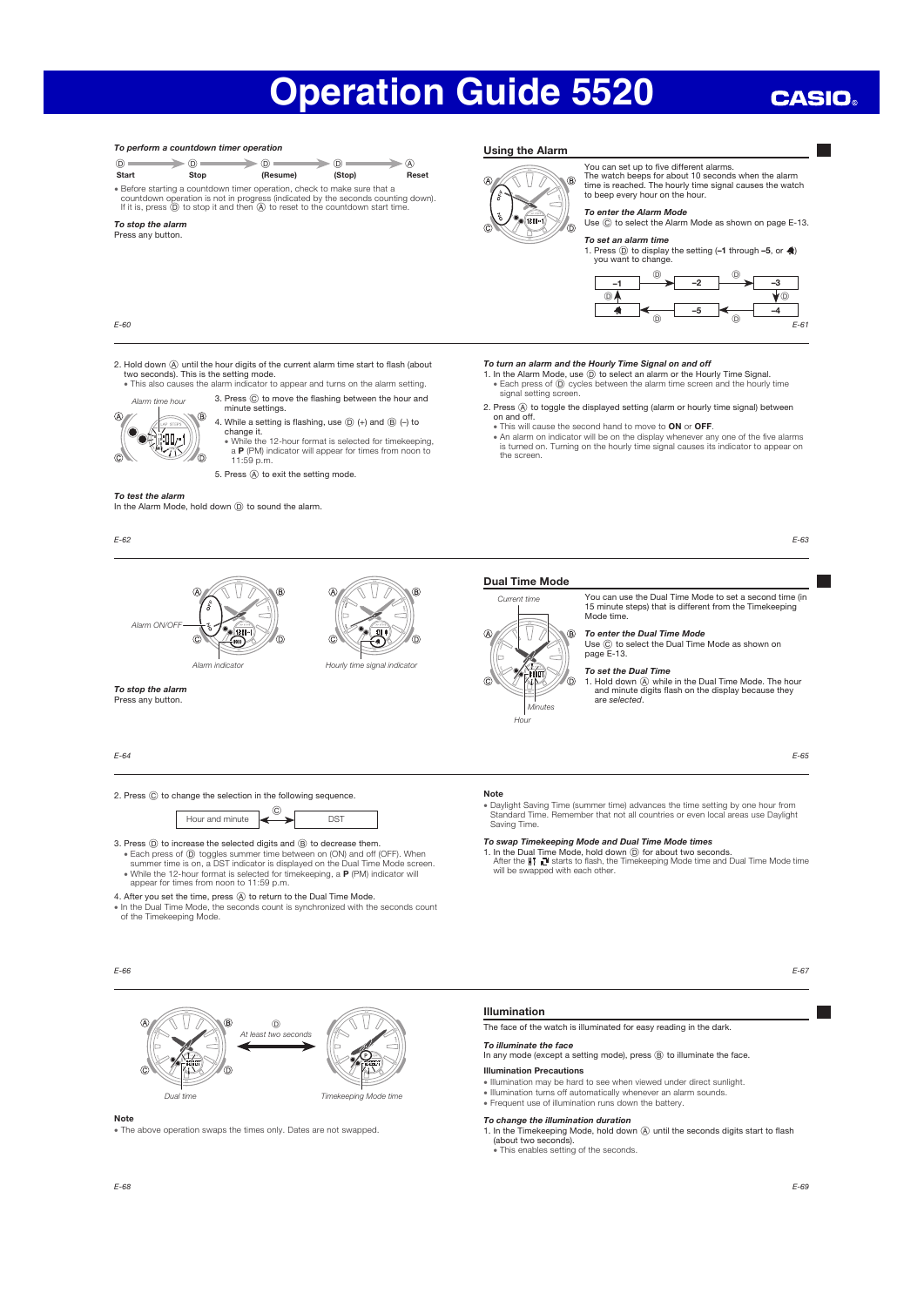Using the Alarm

## **CASIO**



x Daylight Saving Time (summer time) advances the time setting by one hour from Standard Time. Remember that not all countries or even local areas use Daylight

1. In the Dual Time Mode, hold down ① for about two seconds.<br>After the IIT and starts to flash, the Timekeeping Mode time and Dual Time Mode time<br>will be swapped with each other.

E-67

E-65

E-63

E-61

 $\overline{\phantom{a}}$ 

–4

 $^{\circ}$ 



x The above operation swaps the times only. Dates are not swapped.

To perform a countdown timer operation

 $\circledcirc$ 

In any mode (except a setting mode), press (B) to illuminate the face.

Illumination Precautions

- x Illumination may be hard to see when viewed under direct sunlight. x Illumination turns off automatically whenever an alarm sounds.
- x Frequent use of illumination runs down the battery.

#### To change the illumination duration

- 1. In the Timekeeping Mode, hold down  $\overline{A}$  until the seconds digits start to flash (about two seconds).
- x This enables setting of the seconds.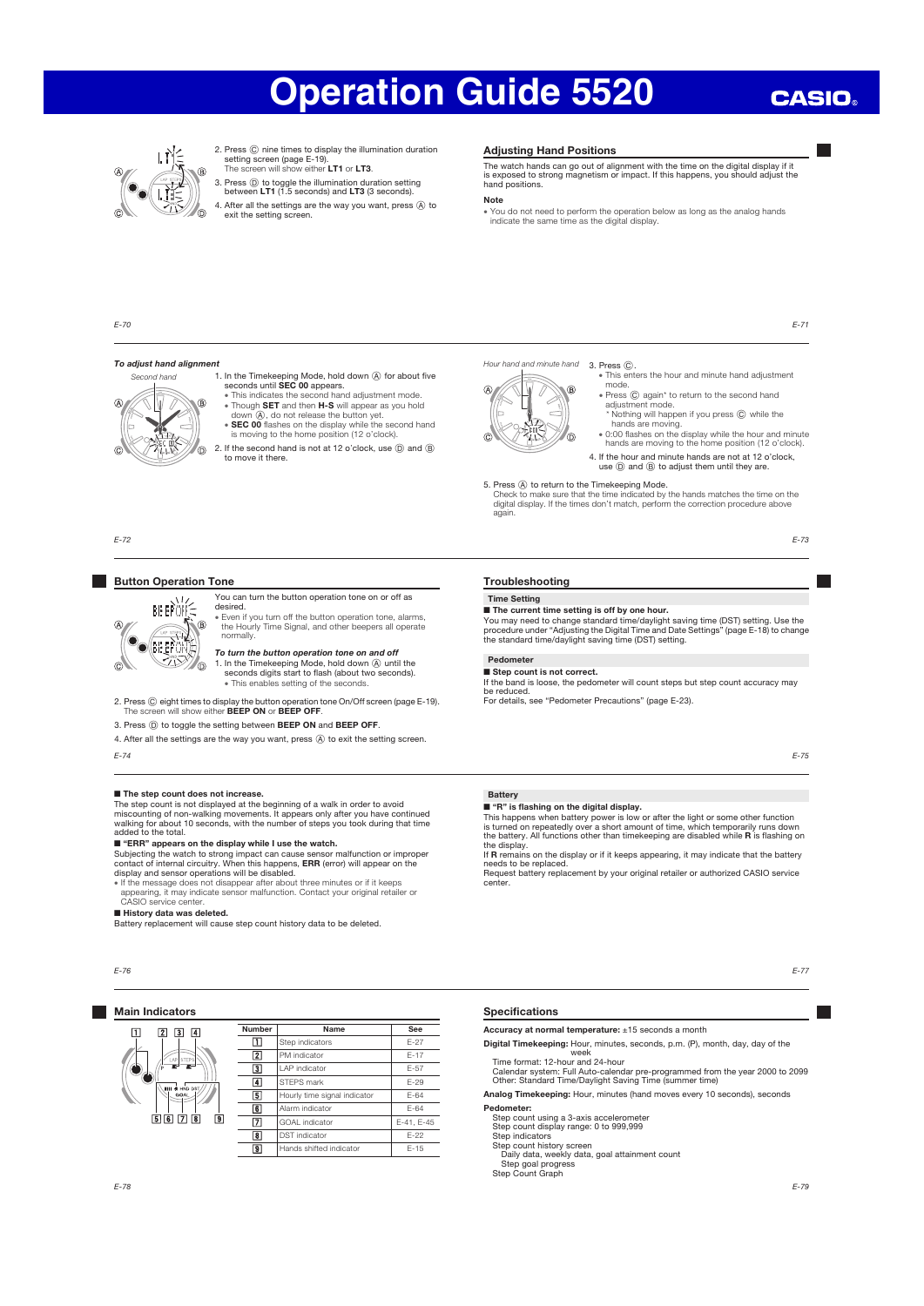## **CASIO**



- 2. Press C nine times to display the illumination duration setting screen (page E-19).<br>The screen will show either LT1 or LT3.
- 3. Press  $\textcircled{D}$  to toggle the illumination duration setting between LT1 (1.5 seconds) and LT3 (3 seconds).

4. After all the settings are the way you want, press  $\circledA$  to exit the setting screen.

#### Adjusting Hand Positions

The watch hands can go out of alignment with the time on the digital display if it is exposed to strong magnetism or impact. If this happens, you should adjust the hand positions.

### Note

x You do not need to perform the operation below as long as the analog hands indicate the same time as the digital display.

E-70

E-72

 $\alpha$ 

 $\mathbb{C}$ 

#### To adjust hand alignment



Button Operation Tone

**BEEP OF S**  $\bigoplus$ 

> $71$  $\circ$

**O** FEEFON

1. In the Timekeeping Mode, hold down  $\circledA$  for about five seconds until **SEC 00** appears.<br>• This indicates the second hand adjustment mode.

- . Though SET and then H-S will appear as you hold down  $\overline{A}$ , do not release the button yet.<br> **• SEC 00** flashes on the display while the second hand<br>
is moving to the home position (12 o'clock).
- 
- 2. If the second hand is not at 12 o'clock, use  $\textcircled{D}$  and  $\textcircled{B}$  to move it there.



. This enters the hour and minute hand adjustment mode.

- Press © again\* to return to the second hand<br>adjustment mode. agam<br>ment mode
- \* Nothing will happen if you press C while the hands are moving.
- x 0:00 flashes on the display while the hour and minute hands are moving to the home position (12 o'clock).

4. If the hour and minute hands are not at 12 o'clock, use  $(D)$  and  $(B)$  to adjust them until they are.

5. Press (A) to return to the Timekeeping Mode.<br>Check to make sure that the time indicated by the hands matches the time on the<br>digital display. If the times don't match, perform the correction procedure above again.

E-73

E-71

#### Pedometer

■ Step count is not correct.

If the band is loose, the pedometer will count steps but step count accuracy may be reduced.

"" " " The flashing on the digital display."<br>This happens when battery power is low or after the light or some other function<br>is turned on repeatedly over a short amount of time, which temporarily runs down<br>the battery. Al

If R remains on the display or if it keeps appearing, it may indicate that the battery

Request battery replacement by your original retailer or authorized CASIO service center.

E-75

## ■ The step count does not increase.

The step count is not displayed at the beginning of a walk in order to avoid<br>miscounting of non-walking movements. It appears only after you have continued<br>walking for about 10 seconds, with the number of steps you took du added to the total.

#### ■ "ERR" appears on the display while I use the watch.

desired.

3. Press  $\overline{0}$ ) to toggle the setting between **BEEP ON** and **BEEP OFF**. 4. After all the settings are the way you want, press  $\circledA$  to exit the setting screen.

Subjecting the watch to strong impact can cause sensor malfunction or improper<br>contact of internal circuitry. When this happens, **ERR** (error) will appear on the<br>display and sensor operations will be disabled.

x If the message does not disappear after about three minutes or if it keeps appearing, it may indicate sensor malfunction. Contact your original retailer or CASIO service center.

■ **History data was deleted.**<br>Battery replacement will cause step count history data to be deleted.



E-74

### **Main Indicators**



Specifications

Accuracy at normal temperature: ±15 seconds a month Digital Timekeeping: Hour, minutes, seconds, p.m. (P), month, day, day of the

week Time format: 12-hour and 24-hour Calendar system: Full Auto-calendar pre-programmed from the year 2000 to 2099 Other: Standard Time/Daylight Saving Time (summer time)

Analog Timekeeping: Hour, minutes (hand moves every 10 seconds), seconds Pedometer:

Step count using a 3-axis accelerometer Step count display range: 0 to 999,999 Step indicators Step count history screen

Daily data, weekly data, goal attainment count

Step goal progress Step Count Graph

E-77

You can turn the button operation tone on or off as

x Even if you turn off the button operation tone, alarms, the Hourly Time Signal, and other beepers all operate normally. To turn the button operation tone on and off 1. In the Timekeeping Mode, hold down (A) until the seconds digits start to flash (about two seconds). • This enables setting of the seconds 2. Press © eight times to display the button operation tone On/Off screen (page E-19).<br>The screen will show either BEEP ON or BEEP OFF. Troubleshooting

Time Setting

Battery

the display.

needs to be replaced.

■ The current time setting is off by one hour.

You may need to change standard time/daylight saving time (DST) setting. Use the<br>procedure under "Adjusting the Digital Time and Date Settings" (page E-18) to change<br>the standard time/daylight saving time (DST) setting.

For details, see "Pedometer Precautions" (page E-23).